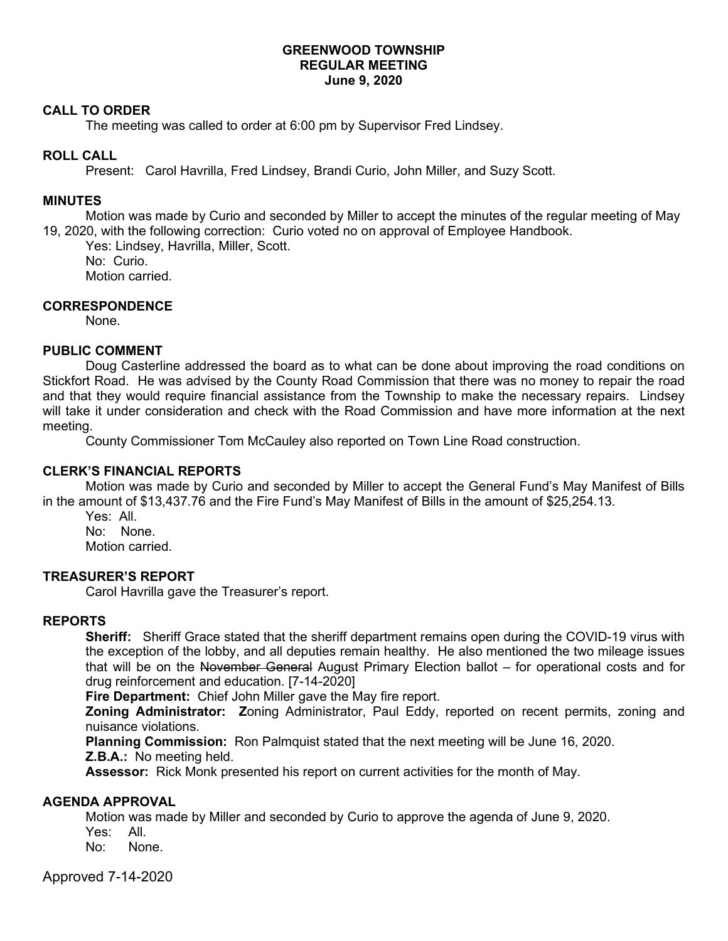### **GREENWOOD TOWNSHIP REGULAR MEETING June 9, 2020**

#### **CALL TO ORDER**

The meeting was called to order at 6:00 pm by Supervisor Fred Lindsey.

## **ROLL CALL**

Present: Carol Havrilla, Fred Lindsey, Brandi Curio, John Miller, and Suzy Scott.

### **MINUTES**

Motion was made by Curio and seconded by Miller to accept the minutes of the regular meeting of May 19, 2020, with the following correction: Curio voted no on approval of Employee Handbook.

Yes: Lindsey, Havrilla, Miller, Scott. No: Curio.

Motion carried.

### **CORRESPONDENCE**

None.

### **PUBLIC COMMENT**

Doug Casterline addressed the board as to what can be done about improving the road conditions on Stickfort Road. He was advised by the County Road Commission that there was no money to repair the road and that they would require financial assistance from the Township to make the necessary repairs. Lindsey will take it under consideration and check with the Road Commission and have more information at the next meeting.

County Commissioner Tom McCauley also reported on Town Line Road construction.

## **CLERK'S FINANCIAL REPORTS**

Motion was made by Curio and seconded by Miller to accept the General Fund's May Manifest of Bills in the amount of \$13,437.76 and the Fire Fund's May Manifest of Bills in the amount of \$25,254.13.

Yes: All. No: None. Motion carried.

## **TREASURER'S REPORT**

Carol Havrilla gave the Treasurer's report.

#### **REPORTS**

**Sheriff:** Sheriff Grace stated that the sheriff department remains open during the COVID-19 virus with the exception of the lobby, and all deputies remain healthy. He also mentioned the two mileage issues that will be on the November General August Primary Election ballot – for operational costs and for drug reinforcement and education. [7-14-2020]

**Fire Department:** Chief John Miller gave the May fire report.

**Zoning Administrator: Z**oning Administrator, Paul Eddy, reported on recent permits, zoning and nuisance violations.

**Planning Commission:** Ron Palmquist stated that the next meeting will be June 16, 2020. **Z.B.A.:** No meeting held.

**Assessor:** Rick Monk presented his report on current activities for the month of May.

#### **AGENDA APPROVAL**

Motion was made by Miller and seconded by Curio to approve the agenda of June 9, 2020.

Yes: All.

No: None.

Approved 7-14-2020